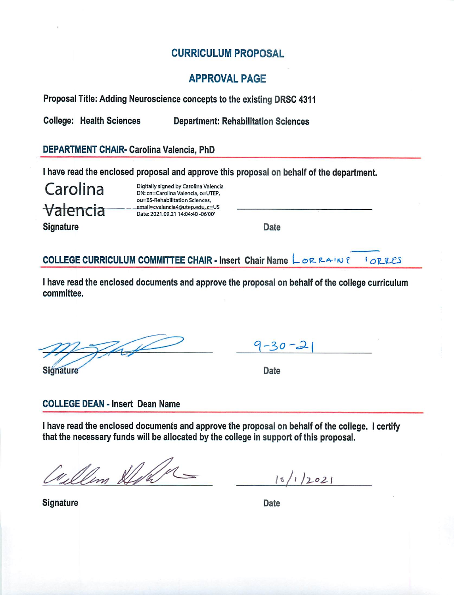# **CURRICULUM PROPOSAL**

# **APPROVAL PAGE**

Proposal Title: Adding Neuroscience concepts to the existing DRSC 4311

**College: Health Sciences Department: Rehabilitation Sciences** 

# DEPARTMENT CHAIR- Carolina Valencia, PhD

I have read the enclosed proposal and approve this proposal on behalf of the department.

Carolina Valencia Digitally signed by Carolina Valencia DN: cn=Carolina Valencia, o=UTEP, ou=BS-Rehabilitation Sciences, email=cvalencia4@utep.edu.c=US Date: 2021.09.21 14:04:40 -06'00'

**Signature** 

Date

COLLEGE CURRICULUM COMMITTEE CHAIR - Insert Chair Name LORRAINE *ORRES* 

I have read the enclosed documents and approve the proposal on behalf of the college curriculum committee.

Signature

|--|--|

Date

# **COLLEGE DEAN - Insert Dean Name**

I have read the enclosed documents and approve the proposal on behalf of the college. I certify that the necessary funds will be allocated by the college in support of this proposal.

ullim Stoller

 $16/1/2021$ 

Signature

Date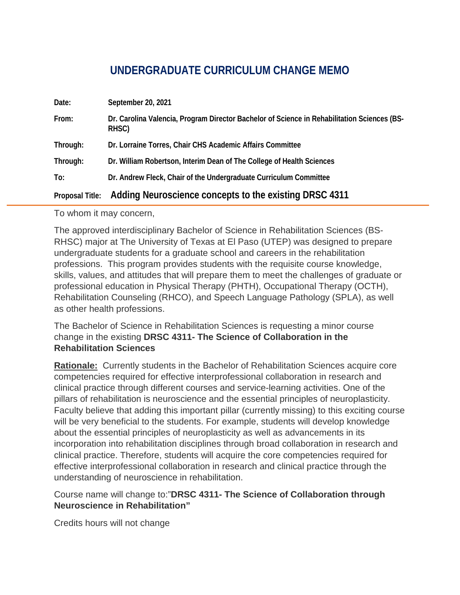# **UNDERGRADUATE CURRICULUM CHANGE MEMO**

| Date:                  | September 20, 2021                                                                                   |  |
|------------------------|------------------------------------------------------------------------------------------------------|--|
| From:                  | Dr. Carolina Valencia, Program Director Bachelor of Science in Rehabilitation Sciences (BS-<br>RHSC) |  |
| Through:               | Dr. Lorraine Torres, Chair CHS Academic Affairs Committee                                            |  |
| Through:               | Dr. William Robertson, Interim Dean of The College of Health Sciences                                |  |
| To:                    | Dr. Andrew Fleck, Chair of the Undergraduate Curriculum Committee                                    |  |
| <b>Proposal Title:</b> | Adding Neuroscience concepts to the existing DRSC 4311                                               |  |

To whom it may concern,

The approved interdisciplinary Bachelor of Science in Rehabilitation Sciences (BS-RHSC) major at The University of Texas at El Paso (UTEP) was designed to prepare undergraduate students for a graduate school and careers in the rehabilitation professions. This program provides students with the requisite course knowledge, skills, values, and attitudes that will prepare them to meet the challenges of graduate or professional education in Physical Therapy (PHTH), Occupational Therapy (OCTH), Rehabilitation Counseling (RHCO), and Speech Language Pathology (SPLA), as well as other health professions.

The Bachelor of Science in Rehabilitation Sciences is requesting a minor course change in the existing **DRSC 4311- The Science of Collaboration in the Rehabilitation Sciences**

**Rationale:** Currently students in the Bachelor of Rehabilitation Sciences acquire core competencies required for effective interprofessional collaboration in research and clinical practice through different courses and service-learning activities. One of the pillars of rehabilitation is neuroscience and the essential principles of neuroplasticity. Faculty believe that adding this important pillar (currently missing) to this exciting course will be very beneficial to the students. For example, students will develop knowledge about the essential principles of neuroplasticity as well as advancements in its incorporation into rehabilitation disciplines through broad collaboration in research and clinical practice. Therefore, students will acquire the core competencies required for effective interprofessional collaboration in research and clinical practice through the understanding of neuroscience in rehabilitation.

Course name will change to:"**DRSC 4311- The Science of Collaboration through Neuroscience in Rehabilitation"**

Credits hours will not change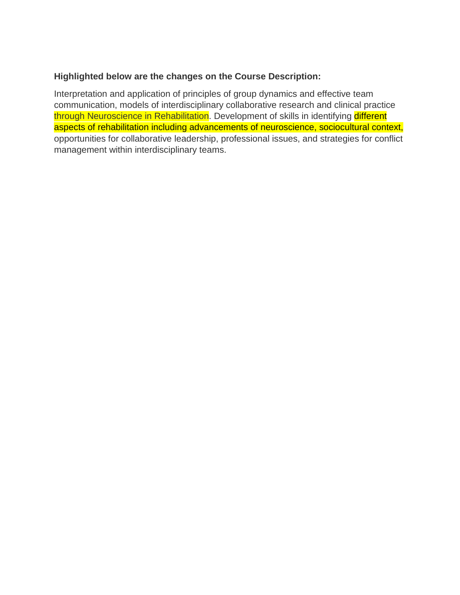#### **Highlighted below are the changes on the Course Description:**

Interpretation and application of principles of group dynamics and effective team communication, models of interdisciplinary collaborative research and clinical practice through Neuroscience in Rehabilitation. Development of skills in identifying different aspects of rehabilitation including advancements of neuroscience, sociocultural context, opportunities for collaborative leadership, professional issues, and strategies for conflict management within interdisciplinary teams.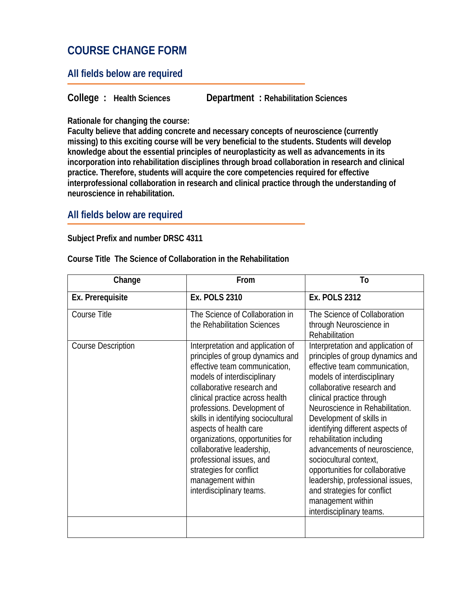# **COURSE CHANGE FORM**

### **All fields below are required**

**College : Health Sciences Department : Rehabilitation Sciences**

**Rationale for changing the course:** 

**Faculty believe that adding concrete and necessary concepts of neuroscience (currently missing) to this exciting course will be very beneficial to the students. Students will develop knowledge about the essential principles of neuroplasticity as well as advancements in its incorporation into rehabilitation disciplines through broad collaboration in research and clinical practice. Therefore, students will acquire the core competencies required for effective interprofessional collaboration in research and clinical practice through the understanding of neuroscience in rehabilitation.**

### **All fields below are required**

#### **Subject Prefix and number DRSC 4311**

| Change                    | From                                                                                                                                                                                                                                                                                                                                                                                                                                                                            | To                                                                                                                                                                                                                                                                                                                                                                                                                                                                                                                                                |
|---------------------------|---------------------------------------------------------------------------------------------------------------------------------------------------------------------------------------------------------------------------------------------------------------------------------------------------------------------------------------------------------------------------------------------------------------------------------------------------------------------------------|---------------------------------------------------------------------------------------------------------------------------------------------------------------------------------------------------------------------------------------------------------------------------------------------------------------------------------------------------------------------------------------------------------------------------------------------------------------------------------------------------------------------------------------------------|
| Ex. Prerequisite          | <b>Ex. POLS 2310</b>                                                                                                                                                                                                                                                                                                                                                                                                                                                            | <b>Ex. POLS 2312</b>                                                                                                                                                                                                                                                                                                                                                                                                                                                                                                                              |
| Course Title              | The Science of Collaboration in<br>the Rehabilitation Sciences                                                                                                                                                                                                                                                                                                                                                                                                                  | The Science of Collaboration<br>through Neuroscience in<br>Rehabilitation                                                                                                                                                                                                                                                                                                                                                                                                                                                                         |
| <b>Course Description</b> | Interpretation and application of<br>principles of group dynamics and<br>effective team communication,<br>models of interdisciplinary<br>collaborative research and<br>clinical practice across health<br>professions. Development of<br>skills in identifying sociocultural<br>aspects of health care<br>organizations, opportunities for<br>collaborative leadership,<br>professional issues, and<br>strategies for conflict<br>management within<br>interdisciplinary teams. | Interpretation and application of<br>principles of group dynamics and<br>effective team communication,<br>models of interdisciplinary<br>collaborative research and<br>clinical practice through<br>Neuroscience in Rehabilitation.<br>Development of skills in<br>identifying different aspects of<br>rehabilitation including<br>advancements of neuroscience,<br>sociocultural context,<br>opportunities for collaborative<br>leadership, professional issues,<br>and strategies for conflict<br>management within<br>interdisciplinary teams. |
|                           |                                                                                                                                                                                                                                                                                                                                                                                                                                                                                 |                                                                                                                                                                                                                                                                                                                                                                                                                                                                                                                                                   |

#### **Course Title The Science of Collaboration in the Rehabilitation**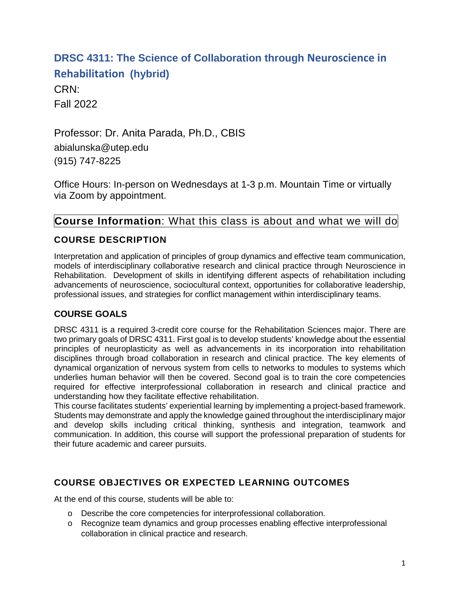# **DRSC 4311: The Science of Collaboration through Neuroscience in Rehabilitation (hybrid)**

CRN: Fall 2022

Professor: Dr. Anita Parada, Ph.D., CBIS abialunska@utep.edu (915) 747-8225

Office Hours: In-person on Wednesdays at 1-3 p.m. Mountain Time or virtually via Zoom by appointment.

# **Course Information**: What this class is about and what we will do

# **COURSE DESCRIPTION**

Interpretation and application of principles of group dynamics and effective team communication, models of interdisciplinary collaborative research and clinical practice through Neuroscience in Rehabilitation. Development of skills in identifying different aspects of rehabilitation including advancements of neuroscience, sociocultural context, opportunities for collaborative leadership, professional issues, and strategies for conflict management within interdisciplinary teams.

# **COURSE GOALS**

DRSC 4311 is a required 3-credit core course for the Rehabilitation Sciences major. There are two primary goals of DRSC 4311. First goal is to develop students' knowledge about the essential principles of neuroplasticity as well as advancements in its incorporation into rehabilitation disciplines through broad collaboration in research and clinical practice. The key elements of dynamical organization of nervous system from cells to networks to modules to systems which underlies human behavior will then be covered. Second goal is to train the core competencies required for effective interprofessional collaboration in research and clinical practice and understanding how they facilitate effective rehabilitation.

This course facilitates students' experiential learning by implementing a project-based framework. Students may demonstrate and apply the knowledge gained throughout the interdisciplinary major and develop skills including critical thinking, synthesis and integration, teamwork and communication. In addition, this course will support the professional preparation of students for their future academic and career pursuits.

# **COURSE OBJECTIVES OR EXPECTED LEARNING OUTCOMES**

At the end of this course, students will be able to:

- o Describe the core competencies for interprofessional collaboration.
- o Recognize team dynamics and group processes enabling effective interprofessional collaboration in clinical practice and research.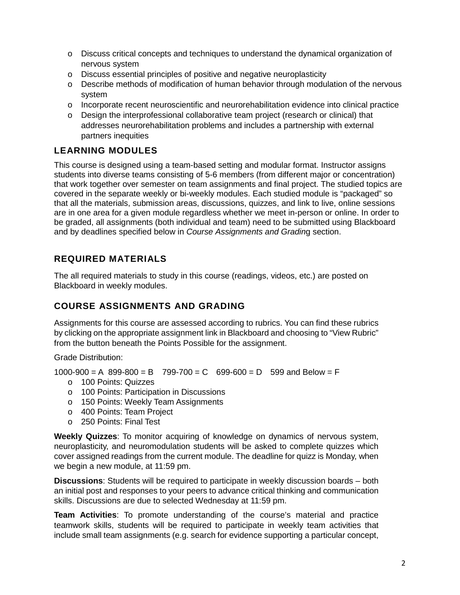- o Discuss critical concepts and techniques to understand the dynamical organization of nervous system
- o Discuss essential principles of positive and negative neuroplasticity
- $\circ$  Describe methods of modification of human behavior through modulation of the nervous system
- o Incorporate recent neuroscientific and neurorehabilitation evidence into clinical practice
- o Design the interprofessional collaborative team project (research or clinical) that addresses neurorehabilitation problems and includes a partnership with external partners inequities

# **LEARNING MODULES**

This course is designed using a team-based setting and modular format. Instructor assigns students into diverse teams consisting of 5-6 members (from different major or concentration) that work together over semester on team assignments and final project. The studied topics are covered in the separate weekly or bi-weekly modules. Each studied module is "packaged" so that all the materials, submission areas, discussions, quizzes, and link to live, online sessions are in one area for a given module regardless whether we meet in-person or online. In order to be graded, all assignments (both individual and team) need to be submitted using Blackboard and by deadlines specified below in *Course Assignments and Gradin*g section.

# **REQUIRED MATERIALS**

The all required materials to study in this course (readings, videos, etc.) are posted on Blackboard in weekly modules.

# **COURSE ASSIGNMENTS AND GRADING**

Assignments for this course are assessed according to rubrics. You can find these rubrics by clicking on the appropriate assignment link in Blackboard and choosing to "View Rubric" from the button beneath the Points Possible for the assignment.

Grade Distribution:

 $1000-900 = A$  899-800 = B 799-700 = C 699-600 = D 599 and Below = F

- o 100 Points: Quizzes
- o 100 Points: Participation in Discussions
- o 150 Points: Weekly Team Assignments
- o 400 Points: Team Project
- o 250 Points: Final Test

**Weekly Quizzes**: To monitor acquiring of knowledge on dynamics of nervous system, neuroplasticity, and neuromodulation students will be asked to complete quizzes which cover assigned readings from the current module. The deadline for quizz is Monday, when we begin a new module, at 11:59 pm.

**Discussions**: Students will be required to participate in weekly discussion boards – both an initial post and responses to your peers to advance critical thinking and communication skills. Discussions are due to selected Wednesday at 11:59 pm.

**Team Activities**: To promote understanding of the course's material and practice teamwork skills, students will be required to participate in weekly team activities that include small team assignments (e.g. search for evidence supporting a particular concept,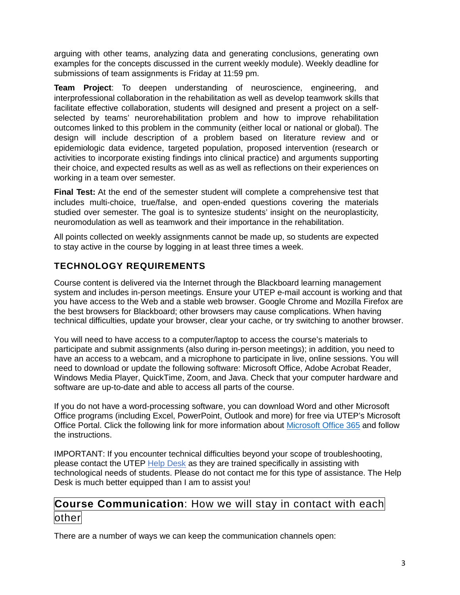arguing with other teams, analyzing data and generating conclusions, generating own examples for the concepts discussed in the current weekly module). Weekly deadline for submissions of team assignments is Friday at 11:59 pm.

**Team Project**: To deepen understanding of neuroscience, engineering, and interprofessional collaboration in the rehabilitation as well as develop teamwork skills that facilitate effective collaboration, students will designed and present a project on a selfselected by teams' neurorehabilitation problem and how to improve rehabilitation outcomes linked to this problem in the community (either local or national or global). The design will include description of a problem based on literature review and or epidemiologic data evidence, targeted population, proposed intervention (research or activities to incorporate existing findings into clinical practice) and arguments supporting their choice, and expected results as well as as well as reflections on their experiences on working in a team over semester.

**Final Test:** At the end of the semester student will complete a comprehensive test that includes multi-choice, true/false, and open-ended questions covering the materials studied over semester. The goal is to syntesize students' insight on the neuroplasticity, neuromodulation as well as teamwork and their importance in the rehabilitation.

All points collected on weekly assignments cannot be made up, so students are expected to stay active in the course by logging in at least three times a week.

# **TECHNOLOGY REQUIREMENTS**

Course content is delivered via the Internet through the Blackboard learning management system and includes in-person meetings. Ensure your UTEP e-mail account is working and that you have access to the Web and a stable web browser. Google Chrome and Mozilla Firefox are the best browsers for Blackboard; other browsers may cause complications. When having technical difficulties, update your browser, clear your cache, or try switching to another browser.

You will need to have access to a computer/laptop to access the course's materials to participate and submit assignments (also during in-person meetings); in addition, you need to have an access to a webcam, and a microphone to participate in live, online sessions. You will need to download or update the following software: Microsoft Office, Adobe Acrobat Reader, Windows Media Player, QuickTime, Zoom, and Java. Check that your computer hardware and software are up-to-date and able to access all parts of the course.

If you do not have a word-processing software, you can download Word and other Microsoft Office programs (including Excel, PowerPoint, Outlook and more) for free via UTEP's Microsoft Office Portal. Click the following link for more information about [Microsoft Office 365](https://www.utep.edu/technologysupport/ServiceCatalog/SOFTWARE_PAGES/soft_microsoftoffice365.html) and follow the instructions.

IMPORTANT: If you encounter technical difficulties beyond your scope of troubleshooting, please contact the UTEP [Help Desk](https://www.utep.edu/irp/technologysupport/) as they are trained specifically in assisting with technological needs of students. Please do not contact me for this type of assistance. The Help Desk is much better equipped than I am to assist you!

# **Course Communication**: How we will stay in contact with each other

There are a number of ways we can keep the communication channels open: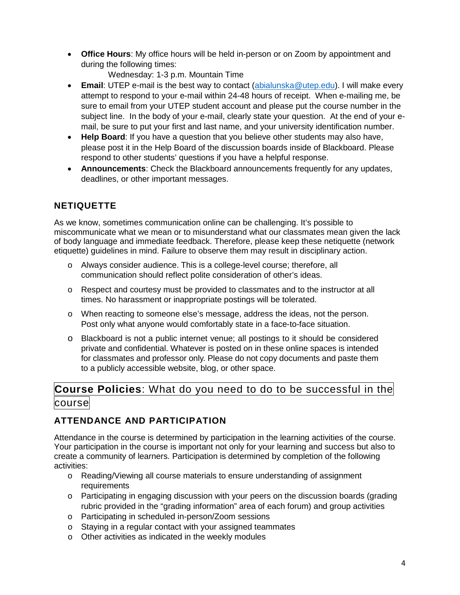• **Office Hours**: My office hours will be held in-person or on Zoom by appointment and during the following times:

Wednesday: 1-3 p.m. Mountain Time

- **Email**: UTEP e-mail is the best way to contact [\(abialunska@utep.edu\)](mailto:abialunska@utep.edu). I will make every attempt to respond to your e-mail within 24-48 hours of receipt. When e-mailing me, be sure to email from your UTEP student account and please put the course number in the subject line. In the body of your e-mail, clearly state your question. At the end of your email, be sure to put your first and last name, and your university identification number.
- **Help Board**: If you have a question that you believe other students may also have, please post it in the Help Board of the discussion boards inside of Blackboard. Please respond to other students' questions if you have a helpful response.
- **Announcements**: Check the Blackboard announcements frequently for any updates, deadlines, or other important messages.

# **NETIQUETTE**

As we know, sometimes communication online can be challenging. It's possible to miscommunicate what we mean or to misunderstand what our classmates mean given the lack of body language and immediate feedback. Therefore, please keep these netiquette (network etiquette) guidelines in mind. Failure to observe them may result in disciplinary action.

- o Always consider audience. This is a college-level course; therefore, all communication should reflect polite consideration of other's ideas.
- o Respect and courtesy must be provided to classmates and to the instructor at all times. No harassment or inappropriate postings will be tolerated.
- o When reacting to someone else's message, address the ideas, not the person. Post only what anyone would comfortably state in a face-to-face situation.
- o Blackboard is not a public internet venue; all postings to it should be considered private and confidential. Whatever is posted on in these online spaces is intended for classmates and professor only. Please do not copy documents and paste them to a publicly accessible website, blog, or other space.

# **Course Policies**: What do you need to do to be successful in the course

# **ATTENDANCE AND PARTICIPATION**

Attendance in the course is determined by participation in the learning activities of the course. Your participation in the course is important not only for your learning and success but also to create a community of learners. Participation is determined by completion of the following activities:

- o Reading/Viewing all course materials to ensure understanding of assignment requirements
- o Participating in engaging discussion with your peers on the discussion boards (grading rubric provided in the "grading information" area of each forum) and group activities
- o Participating in scheduled in-person/Zoom sessions
- o Staying in a regular contact with your assigned teammates
- o Other activities as indicated in the weekly modules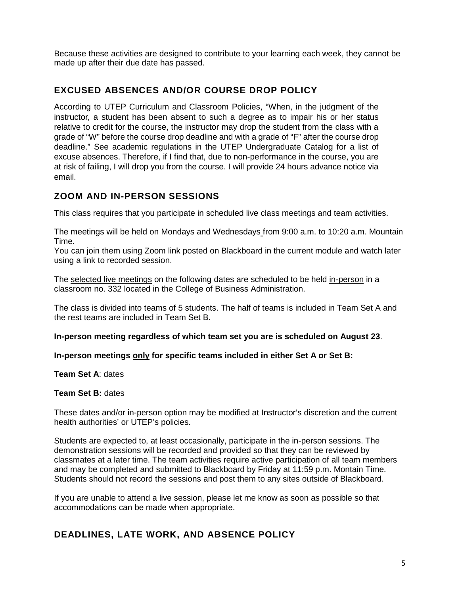Because these activities are designed to contribute to your learning each week, they cannot be made up after their due date has passed.

#### **EXCUSED ABSENCES AND/OR COURSE DROP POLICY**

According to UTEP Curriculum and Classroom Policies, "When, in the judgment of the instructor, a student has been absent to such a degree as to impair his or her status relative to credit for the course, the instructor may drop the student from the class with a grade of "W" before the course drop deadline and with a grade of "F" after the course drop deadline." See academic regulations in the UTEP Undergraduate Catalog for a list of excuse absences. Therefore, if I find that, due to non-performance in the course, you are at risk of failing, I will drop you from the course. I will provide 24 hours advance notice via email.

#### **ZOOM AND IN-PERSON SESSIONS**

This class requires that you participate in scheduled live class meetings and team activities.

The meetings will be held on Mondays and Wednesdays from 9:00 a.m. to 10:20 a.m. Mountain Time.

You can join them using Zoom link posted on Blackboard in the current module and watch later using a link to recorded session.

The selected live meetings on the following dates are scheduled to be held in-person in a classroom no. 332 located in the College of Business Administration.

The class is divided into teams of 5 students. The half of teams is included in Team Set A and the rest teams are included in Team Set B.

**In-person meeting regardless of which team set you are is scheduled on August 23**.

**In-person meetings only for specific teams included in either Set A or Set B:**

**Team Set A**: dates

#### **Team Set B:** dates

These dates and/or in-person option may be modified at Instructor's discretion and the current health authorities' or UTEP's policies.

Students are expected to, at least occasionally, participate in the in-person sessions. The demonstration sessions will be recorded and provided so that they can be reviewed by classmates at a later time. The team activities require active participation of all team members and may be completed and submitted to Blackboard by Friday at 11:59 p.m. Montain Time. Students should not record the sessions and post them to any sites outside of Blackboard.

If you are unable to attend a live session, please let me know as soon as possible so that accommodations can be made when appropriate.

### **DEADLINES, LATE WORK, AND ABSENCE POLICY**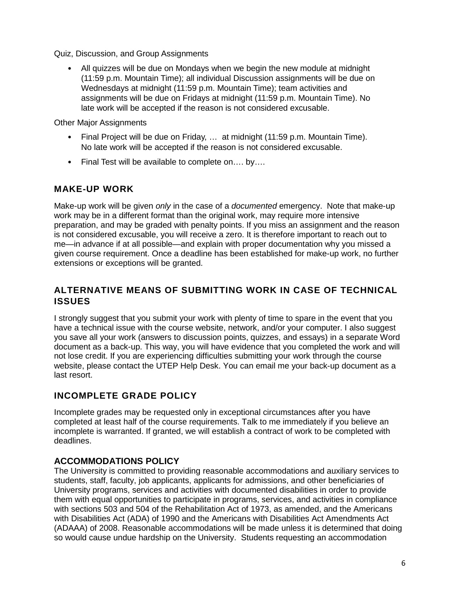Quiz, Discussion, and Group Assignments

• All quizzes will be due on Mondays when we begin the new module at midnight (11:59 p.m. Mountain Time); all individual Discussion assignments will be due on Wednesdays at midnight (11:59 p.m. Mountain Time); team activities and assignments will be due on Fridays at midnight (11:59 p.m. Mountain Time). No late work will be accepted if the reason is not considered excusable.

Other Major Assignments

- Final Project will be due on Friday, ... at midnight (11:59 p.m. Mountain Time). No late work will be accepted if the reason is not considered excusable.
- Final Test will be available to complete on…. by….

### **MAKE-UP WORK**

Make-up work will be given *only* in the case of a *documented* emergency. Note that make-up work may be in a different format than the original work, may require more intensive preparation, and may be graded with penalty points. If you miss an assignment and the reason is not considered excusable, you will receive a zero. It is therefore important to reach out to me—in advance if at all possible—and explain with proper documentation why you missed a given course requirement. Once a deadline has been established for make-up work, no further extensions or exceptions will be granted.

### **ALTERNATIVE MEANS OF SUBMITTING WORK IN CASE OF TECHNICAL ISSUES**

I strongly suggest that you submit your work with plenty of time to spare in the event that you have a technical issue with the course website, network, and/or your computer. I also suggest you save all your work (answers to discussion points, quizzes, and essays) in a separate Word document as a back-up. This way, you will have evidence that you completed the work and will not lose credit. If you are experiencing difficulties submitting your work through the course website, please contact the UTEP Help Desk. You can email me your back-up document as a last resort.

### **INCOMPLETE GRADE POLICY**

Incomplete grades may be requested only in exceptional circumstances after you have completed at least half of the course requirements. Talk to me immediately if you believe an incomplete is warranted. If granted, we will establish a contract of work to be completed with deadlines.

#### **ACCOMMODATIONS POLICY**

The University is committed to providing reasonable accommodations and auxiliary services to students, staff, faculty, job applicants, applicants for admissions, and other beneficiaries of University programs, services and activities with documented disabilities in order to provide them with equal opportunities to participate in programs, services, and activities in compliance with sections 503 and 504 of the Rehabilitation Act of 1973, as amended, and the Americans with Disabilities Act (ADA) of 1990 and the Americans with Disabilities Act Amendments Act (ADAAA) of 2008. Reasonable accommodations will be made unless it is determined that doing so would cause undue hardship on the University. Students requesting an accommodation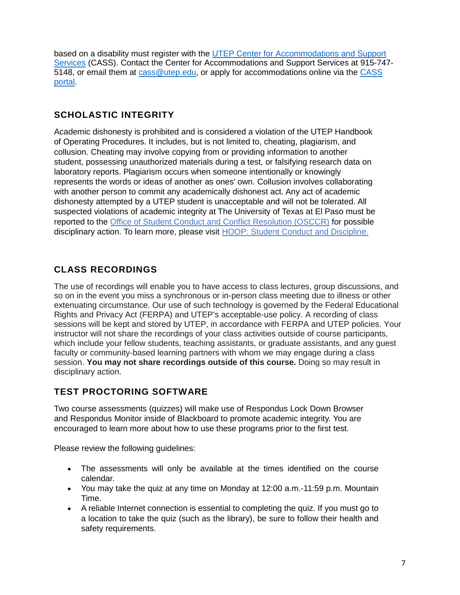based on a disability must register with the [UTEP Center for Accommodations and Support](https://www.utep.edu/student-affairs/cass/ada-policies/accommodations-for-individuals-with-disabilities%20.html)  [Services](https://www.utep.edu/student-affairs/cass/ada-policies/accommodations-for-individuals-with-disabilities%20.html) (CASS). Contact the Center for Accommodations and Support Services at 915-747- 5148, or email them at [cass@utep.edu,](mailto:cass@utep.edu) or apply for accommodations online via the [CASS](https://www.utep.edu/student-affairs/cass/aim/index.html)  [portal.](https://www.utep.edu/student-affairs/cass/aim/index.html)

# **SCHOLASTIC INTEGRITY**

Academic dishonesty is prohibited and is considered a violation of the UTEP Handbook of Operating Procedures. It includes, but is not limited to, cheating, plagiarism, and collusion. Cheating may involve copying from or providing information to another student, possessing unauthorized materials during a test, or falsifying research data on laboratory reports. Plagiarism occurs when someone intentionally or knowingly represents the words or ideas of another as ones' own. Collusion involves collaborating with another person to commit any academically dishonest act. Any act of academic dishonesty attempted by a UTEP student is unacceptable and will not be tolerated. All suspected violations of academic integrity at The University of Texas at El Paso must be reported to the Office of Student Conduct and Conflict Resolution (OSCCR) for possible disciplinary action. To learn more, please visit [HOOP: Student Conduct and Discipline.](https://admin.utep.edu/LinkClick.aspx?link=HOOP-Section+II.pdf&tabid=30181&mid=63285)

# **CLASS RECORDINGS**

The use of recordings will enable you to have access to class lectures, group discussions, and so on in the event you miss a synchronous or in-person class meeting due to illness or other extenuating circumstance. Our use of such technology is governed by the Federal Educational Rights and Privacy Act (FERPA) and UTEP's acceptable-use policy. A recording of class sessions will be kept and stored by UTEP, in accordance with FERPA and UTEP policies. Your instructor will not share the recordings of your class activities outside of course participants, which include your fellow students, teaching assistants, or graduate assistants, and any guest faculty or community-based learning partners with whom we may engage during a class session. **You may not share recordings outside of this course.** Doing so may result in disciplinary action.

# **TEST PROCTORING SOFTWARE**

Two course assessments (quizzes) will make use of Respondus Lock Down Browser and Respondus Monitor inside of Blackboard to promote academic integrity. You are encouraged to learn more about how to use these programs prior to the first test.

Please review the following guidelines:

- The assessments will only be available at the times identified on the course calendar.
- You may take the quiz at any time on Monday at 12:00 a.m.-11:59 p.m. Mountain Time.
- A reliable Internet connection is essential to completing the quiz. If you must go to a location to take the quiz (such as the library), be sure to follow their health and safety requirements.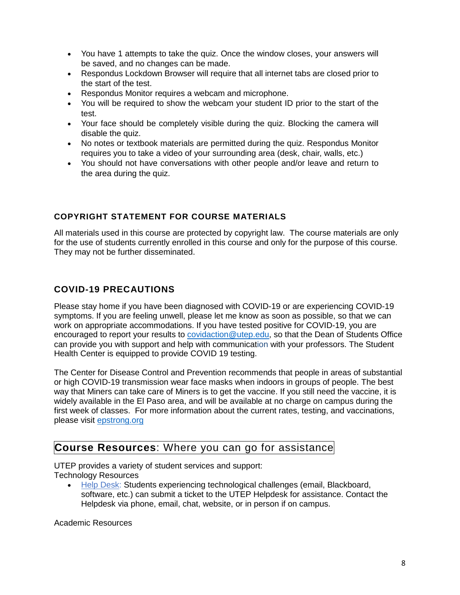- You have 1 attempts to take the quiz. Once the window closes, your answers will be saved, and no changes can be made.
- Respondus Lockdown Browser will require that all internet tabs are closed prior to the start of the test.
- Respondus Monitor requires a webcam and microphone.
- You will be required to show the webcam your student ID prior to the start of the test.
- Your face should be completely visible during the quiz. Blocking the camera will disable the quiz.
- No notes or textbook materials are permitted during the quiz. Respondus Monitor requires you to take a video of your surrounding area (desk, chair, walls, etc.)
- You should not have conversations with other people and/or leave and return to the area during the quiz.

### **COPYRIGHT STATEMENT FOR COURSE MATERIALS**

All materials used in this course are protected by copyright law. The course materials are only for the use of students currently enrolled in this course and only for the purpose of this course. They may not be further disseminated.

# **COVID-19 PRECAUTIONS**

Please stay home if you have been diagnosed with COVID-19 or are experiencing COVID-19 symptoms. If you are feeling unwell, please let me know as soon as possible, so that we can work on appropriate accommodations. If you have tested positive for COVID-19, you are encouraged to report your results to [covidaction@utep.edu,](mailto:covidaction@utep.edu) so that the Dean of Students Office can provide you with support and help with communication with your professors. The Student Health Center is equipped to provide COVID 19 testing.

The Center for Disease Control and Prevention recommends that people in areas of substantial or high COVID-19 transmission wear face masks when indoors in groups of people. The best way that Miners can take care of Miners is to get the vaccine. If you still need the vaccine, it is widely available in the El Paso area, and will be available at no charge on campus during the first week of classes. For more information about the current rates, testing, and vaccinations, please visit [epstrong.org](https://www.epstrong.org/)

# **Course Resources**: Where you can go for assistance

UTEP provides a variety of student services and support: Technology Resources

• [Help Desk:](https://www.utep.edu/irp/technologysupport/) Students experiencing technological challenges (email, Blackboard, software, etc.) can submit a ticket to the UTEP Helpdesk for assistance. Contact the Helpdesk via phone, email, chat, website, or in person if on campus.

Academic Resources